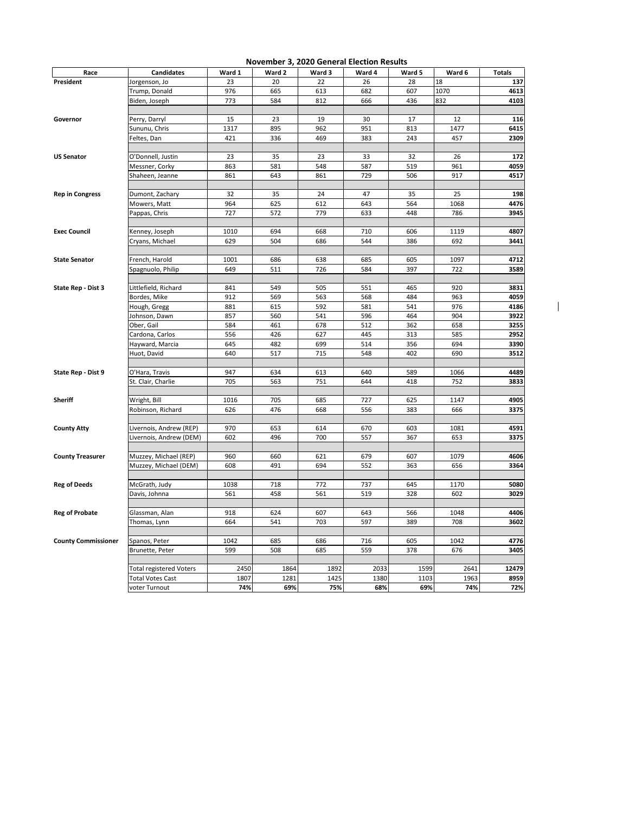|                            |                                          |             |             |             | <b>November 3, 2020 General Election Results</b> |             |             |               |
|----------------------------|------------------------------------------|-------------|-------------|-------------|--------------------------------------------------|-------------|-------------|---------------|
| Race                       | <b>Candidates</b>                        | Ward 1      | Ward 2      | Ward 3      | Ward 4                                           | Ward 5      | Ward 6      | <b>Totals</b> |
| President                  | Jorgenson, Jo                            | 23          | 20          | 22          | 26                                               | 28          | 18          | 137           |
|                            | Trump, Donald                            | 976         | 665         | 613         | 682                                              | 607         | 1070        | 4613          |
|                            | Biden, Joseph                            | 773         | 584         | 812         | 666                                              | 436         | 832         | 4103          |
|                            |                                          | 15          | 23          | 19          | 30                                               | 17          | 12          | 116           |
| Governor                   | Perry, Darryl                            |             |             |             |                                                  |             |             |               |
|                            | Sununu, Chris                            | 1317        | 895         | 962         | 951                                              | 813         | 1477        | 6415          |
|                            | Feltes, Dan                              | 421         | 336         | 469         | 383                                              | 243         | 457         | 2309          |
| <b>US Senator</b>          | O'Donnell, Justin                        | 23          | 35          | 23          | 33                                               | 32          | 26          | 172           |
|                            | Messner, Corky                           | 863         | 581         | 548         | 587                                              | 519         | 961         | 4059          |
|                            | Shaheen, Jeanne                          | 861         | 643         | 861         | 729                                              | 506         | 917         | 4517          |
|                            |                                          |             |             |             |                                                  |             |             |               |
| <b>Rep in Congress</b>     | Dumont, Zachary                          | 32          | 35          | 24          | 47                                               | 35          | 25          | 198           |
|                            | Mowers, Matt                             | 964         | 625         | 612         | 643                                              | 564         | 1068        | 4476          |
|                            | Pappas, Chris                            | 727         | 572         | 779         | 633                                              | 448         | 786         | 3945          |
| <b>Exec Council</b>        | Kenney, Joseph                           | 1010        | 694         | 668         | 710                                              | 606         | 1119        | 4807          |
|                            | Cryans, Michael                          | 629         | 504         | 686         | 544                                              | 386         | 692         | 3441          |
|                            |                                          |             |             |             |                                                  |             |             |               |
| <b>State Senator</b>       | French, Harold                           | 1001        | 686         | 638         | 685                                              | 605         | 1097        | 4712          |
|                            | Spagnuolo, Philip                        | 649         | 511         | 726         | 584                                              | 397         | 722         | 3589          |
|                            |                                          |             |             |             |                                                  |             |             |               |
| State Rep - Dist 3         | Littlefield, Richard                     | 841         | 549         | 505         | 551                                              | 465         | 920         | 3831          |
|                            | Bordes, Mike                             | 912         | 569         | 563         | 568                                              | 484         | 963         | 4059          |
|                            | Hough, Gregg                             | 881         | 615         | 592         | 581                                              | 541         | 976         | 4186          |
|                            | Johnson, Dawn                            | 857         | 560         | 541         | 596                                              | 464         | 904         | 3922          |
|                            | Ober, Gail                               | 584         | 461         | 678         | 512                                              | 362         | 658         | 3255          |
|                            | Cardona, Carlos                          | 556         | 426         | 627         | 445                                              | 313         | 585         | 2952          |
|                            | Hayward, Marcia                          | 645         | 482         | 699         | 514                                              | 356         | 694         | 3390          |
|                            | Huot, David                              | 640         | 517         | 715         | 548                                              | 402         | 690         | 3512          |
|                            |                                          |             |             |             |                                                  |             |             |               |
| State Rep - Dist 9         | O'Hara, Travis                           | 947         | 634         | 613         | 640                                              | 589         | 1066        | 4489          |
|                            | St. Clair, Charlie                       | 705         | 563         | 751         | 644                                              | 418         | 752         | 3833          |
|                            |                                          |             |             |             |                                                  |             |             |               |
| Sheriff                    | Wright, Bill                             | 1016        | 705         | 685         | 727                                              | 625         | 1147        | 4905          |
|                            | Robinson, Richard                        | 626         | 476         | 668         | 556                                              | 383         | 666         | 3375          |
|                            |                                          |             |             |             |                                                  |             |             |               |
| <b>County Atty</b>         | Livernois, Andrew (REP)                  | 970         | 653         | 614         | 670                                              | 603         | 1081        | 4591          |
|                            | Livernois, Andrew (DEM)                  | 602         | 496         | 700         | 557                                              | 367         | 653         | 3375          |
| <b>County Treasurer</b>    | Muzzey, Michael (REP)                    | 960         | 660         | 621         | 679                                              | 607         | 1079        | 4606          |
|                            | Muzzey, Michael (DEM)                    | 608         | 491         | 694         | 552                                              | 363         | 656         | 3364          |
|                            |                                          |             |             |             |                                                  |             |             |               |
| <b>Reg of Deeds</b>        | McGrath, Judy                            | 1038        | 718         | 772         | 737                                              | 645         | 1170        | 5080          |
|                            | Davis, Johnna                            | 561         | 458         | 561         | 519                                              | 328         | 602         | 3029          |
|                            |                                          |             |             |             |                                                  |             |             |               |
| <b>Reg of Probate</b>      | Glassman, Alan                           | 918         | 624         | 607         | 643                                              | 566         | 1048        | 4406          |
|                            | Thomas, Lynn                             | 664         | 541         | 703         | 597                                              | 389         | 708         | 3602          |
|                            |                                          |             |             |             |                                                  |             |             |               |
| <b>County Commissioner</b> | Spanos, Peter                            | 1042        | 685         | 686         | 716                                              | 605         | 1042        | 4776          |
|                            | Brunette, Peter                          | 599         | 508         | 685         | 559                                              | 378         | 676         | 3405          |
|                            |                                          |             |             |             |                                                  |             |             |               |
|                            | <b>Total registered Voters</b>           | 2450        | 1864        | 1892        | 2033                                             | 1599        | 2641        | 12479         |
|                            | <b>Total Votes Cast</b><br>voter Turnout | 1807<br>74% | 1281<br>69% | 1425<br>75% | 1380<br>68%                                      | 1103<br>69% | 1963<br>74% | 8959<br>72%   |
|                            |                                          |             |             |             |                                                  |             |             |               |

 $\overline{\phantom{a}}$